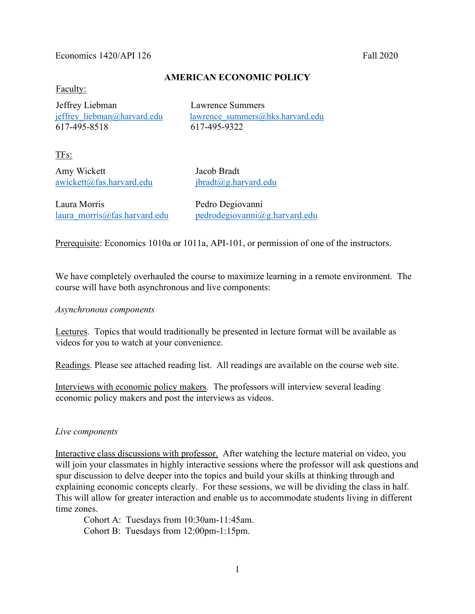#### Economics 1420/API 126

#### AMERICAN ECONOMIC POLICY

Faculty:

 Jeffrey Liebman Lawrence Summers 617-495-8518 617-495-9322

jeffrey liebman@harvard.edu lawrence summers@hks.harvard.edu

TFs:

Amy Wickett Jacob Bradt awickett@fas.harvard.edu jbradt@g.harvard.edu

Laura Morris Pedro Degiovanni

laura morris@fas.harvard.edu pedrodegiovanni@g.harvard.edu

Prerequisite: Economics 1010a or 1011a, API-101, or permission of one of the instructors.

We have completely overhauled the course to maximize learning in a remote environment. The course will have both asynchronous and live components:

#### Asynchronous components

Lectures. Topics that would traditionally be presented in lecture format will be available as videos for you to watch at your convenience.

Readings. Please see attached reading list. All readings are available on the course web site.

Interviews with economic policy makers. The professors will interview several leading economic policy makers and post the interviews as videos.

#### Live components

Interactive class discussions with professor. After watching the lecture material on video, you will join your classmates in highly interactive sessions where the professor will ask questions and spur discussion to delve deeper into the topics and build your skills at thinking through and explaining economic concepts clearly. For these sessions, we will be dividing the class in half. This will allow for greater interaction and enable us to accommodate students living in different time zones.

 Cohort A: Tuesdays from 10:30am-11:45am. Cohort B: Tuesdays from 12:00pm-1:15pm.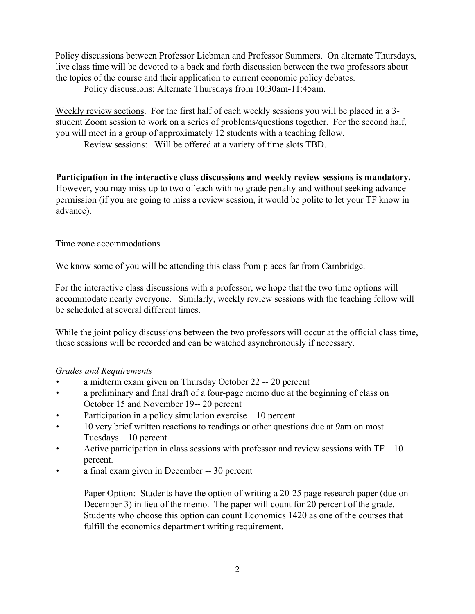Policy discussions between Professor Liebman and Professor Summers. On alternate Thursdays, live class time will be devoted to a back and forth discussion between the two professors about the topics of the course and their application to current economic policy debates.

Policy discussions: Alternate Thursdays from 10:30am-11:45am.

Weekly review sections. For the first half of each weekly sessions you will be placed in a 3 student Zoom session to work on a series of problems/questions together. For the second half, you will meet in a group of approximately 12 students with a teaching fellow.

Review sessions: Will be offered at a variety of time slots TBD.

Participation in the interactive class discussions and weekly review sessions is mandatory. However, you may miss up to two of each with no grade penalty and without seeking advance permission (if you are going to miss a review session, it would be polite to let your TF know in advance).

# Time zone accommodations

We know some of you will be attending this class from places far from Cambridge.

For the interactive class discussions with a professor, we hope that the two time options will accommodate nearly everyone. Similarly, weekly review sessions with the teaching fellow will be scheduled at several different times.

While the joint policy discussions between the two professors will occur at the official class time, these sessions will be recorded and can be watched asynchronously if necessary.

# Grades and Requirements

- a midterm exam given on Thursday October 22 -- 20 percent
- a preliminary and final draft of a four-page memo due at the beginning of class on October 15 and November 19-- 20 percent
- Participation in a policy simulation exercise  $-10$  percent
- 10 very brief written reactions to readings or other questions due at 9am on most Tuesdays – 10 percent
- Active participation in class sessions with professor and review sessions with  $TF 10$ percent.
- a final exam given in December -- 30 percent

Paper Option: Students have the option of writing a 20-25 page research paper (due on December 3) in lieu of the memo. The paper will count for 20 percent of the grade. Students who choose this option can count Economics 1420 as one of the courses that fulfill the economics department writing requirement.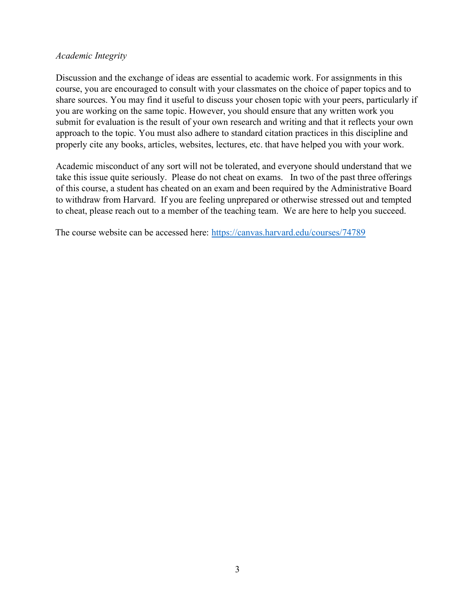### Academic Integrity

Discussion and the exchange of ideas are essential to academic work. For assignments in this course, you are encouraged to consult with your classmates on the choice of paper topics and to share sources. You may find it useful to discuss your chosen topic with your peers, particularly if you are working on the same topic. However, you should ensure that any written work you submit for evaluation is the result of your own research and writing and that it reflects your own approach to the topic. You must also adhere to standard citation practices in this discipline and properly cite any books, articles, websites, lectures, etc. that have helped you with your work.

Academic misconduct of any sort will not be tolerated, and everyone should understand that we take this issue quite seriously. Please do not cheat on exams. In two of the past three offerings of this course, a student has cheated on an exam and been required by the Administrative Board to withdraw from Harvard. If you are feeling unprepared or otherwise stressed out and tempted to cheat, please reach out to a member of the teaching team. We are here to help you succeed.

The course website can be accessed here: https://canvas.harvard.edu/courses/74789